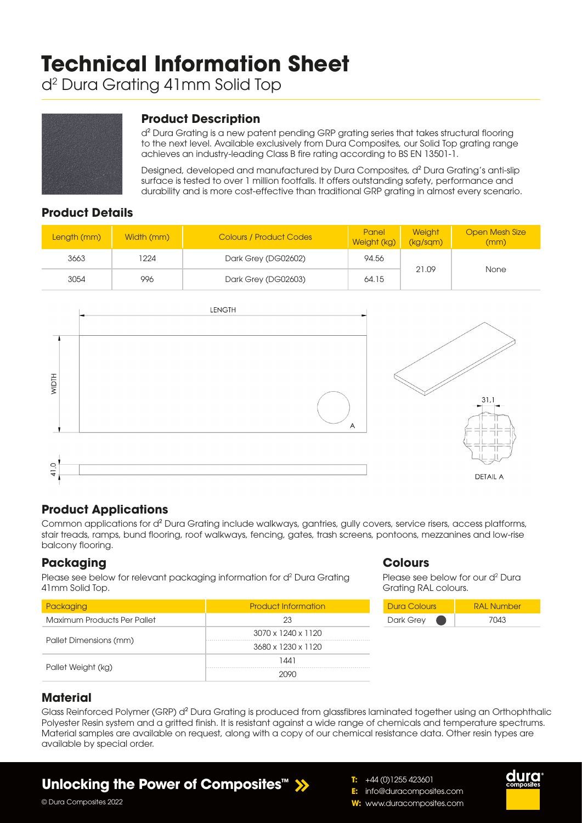# **Technical Information Sheet**

d2 Dura Grating 41mm Solid Top



## **Product Description**

d² Dura Grating is a new patent pending GRP grating series that takes structural flooring to the next level. Available exclusively from Dura Composites, our Solid Top grating range achieves an industry-leading Class B fire rating according to BS EN 13501-1.

Designed, developed and manufactured by Dura Composites, d² Dura Grating's anti-slip surface is tested to over 1 million footfalls. It offers outstanding safety, performance and durability and is more cost-effective than traditional GRP grating in almost every scenario.

## **Product Details**

| Length (mm) | Width (mm) | <b>Colours / Product Codes</b> | Panel<br>Weight (kg) | <b>Weight</b><br>(kg/sgm) | <b>Open Mesh Size</b><br>(mm) |
|-------------|------------|--------------------------------|----------------------|---------------------------|-------------------------------|
| 3663        | 1224       | 94.56<br>Dark Grey (DG02602)   |                      |                           |                               |
| 3054        | 996        | Dark Grey (DG02603)            | 64.15                | 21.09                     | <b>None</b>                   |



## **Product Applications**

Common applications for d² Dura Grating include walkways, gantries, gully covers, service risers, access platforms, stair treads, ramps, bund flooring, roof walkways, fencing, gates, trash screens, pontoons, mezzanines and low-rise balcony flooring.

#### **Packaging**

Please see below for relevant packaging information for d<sup>2</sup> Dura Grating 41mm Solid Top.

| Packaging                   | <b>Product Information</b> |  |  |  |
|-----------------------------|----------------------------|--|--|--|
| Maximum Products Per Pallet | 23                         |  |  |  |
|                             | 3070 x 1240 x 1120         |  |  |  |
| Pallet Dimensions (mm)      | 3680 x 1230 x 1120         |  |  |  |
|                             | 1441                       |  |  |  |
| Pallet Weight (kg)          | ouou                       |  |  |  |

## **Colours**

Please see below for our d<sup>2</sup> Dura Grating RAL colours.



## **Material**

Glass Reinforced Polymer (GRP) d² Dura Grating is produced from glassfibres laminated together using an Orthophthalic Polyester Resin system and a gritted finish. It is resistant against a wide range of chemicals and temperature spectrums. Material samples are available on request, along with a copy of our chemical resistance data. Other resin types are available by special order.

## **Unlocking the Power of Composites™**

**E:** info@duracomposites.com **W:** www.duracomposites.com

**T:** +44 (0)1255 423601



© Dura Composites 2022